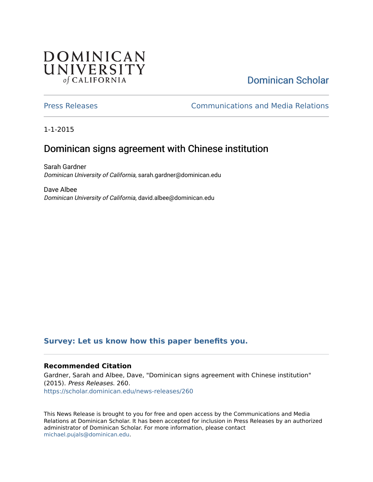## **DOMINICAN** UNIVERSITY of CALIFORNIA

# [Dominican Scholar](https://scholar.dominican.edu/)

[Press Releases](https://scholar.dominican.edu/news-releases) [Communications and Media Relations](https://scholar.dominican.edu/communications-media) 

1-1-2015

### Dominican signs agreement with Chinese institution

Sarah Gardner Dominican University of California, sarah.gardner@dominican.edu

Dave Albee Dominican University of California, david.albee@dominican.edu

#### **[Survey: Let us know how this paper benefits you.](https://dominican.libwizard.com/dominican-scholar-feedback)**

#### **Recommended Citation**

Gardner, Sarah and Albee, Dave, "Dominican signs agreement with Chinese institution" (2015). Press Releases. 260. [https://scholar.dominican.edu/news-releases/260](https://scholar.dominican.edu/news-releases/260?utm_source=scholar.dominican.edu%2Fnews-releases%2F260&utm_medium=PDF&utm_campaign=PDFCoverPages)

This News Release is brought to you for free and open access by the Communications and Media Relations at Dominican Scholar. It has been accepted for inclusion in Press Releases by an authorized administrator of Dominican Scholar. For more information, please contact [michael.pujals@dominican.edu.](mailto:michael.pujals@dominican.edu)